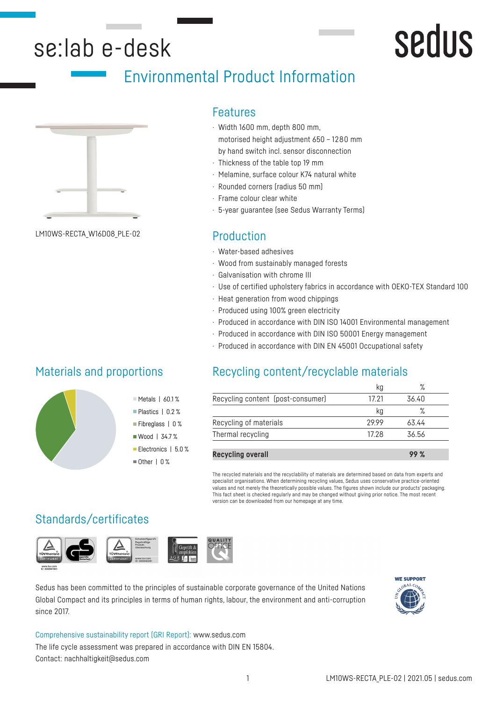# se:lab e-desk

# Environmental Product Information



Production LM10WS-RECTA\_W16D08\_PLE-02

### Features

- · Width 1600 mm, depth 800 mm, motorised height adjustment 650 – 1280 mm by hand switch incl. sensor disconnection
- · Thickness of the table top 19 mm
- · Melamine, surface colour K74 natural white
- · Rounded corners (radius 50 mm)
- · Frame colour clear white
- · 5-year guarantee (see Sedus Warranty Terms)

- · Water-based adhesives
- · Wood from sustainably managed forests
- · Galvanisation with chrome III
- · Use of certified upholstery fabrics in accordance with OEKO-TEX Standard 100
- · Heat generation from wood chippings
- · Produced using 100% green electricity
- · Produced in accordance with DIN ISO 14001 Environmental management
- · Produced in accordance with DIN ISO 50001 Energy management
- · Produced in accordance with DIN EN 45001 Occupational safety

# Materials and proportions



# Recycling content/recyclable materials

|                                   | Κg    | $\sqrt{2}$ |  |
|-----------------------------------|-------|------------|--|
| Recycling content (post-consumer) | 17 21 | 36.40      |  |
|                                   | kg    | ℅          |  |
| Recycling of materials            | 2999  | 63.44      |  |
| Thermal recycling                 | 17 28 | 36.56      |  |
|                                   |       |            |  |

**Recycling overall 99 %**

The recycled materials and the recyclability of materials are determined based on data from experts and specialist organisations. When determining recycling values, Sedus uses conservative practice-oriented values and not merely the theoretically possible values. The figures shown include our products' packaging. This fact sheet is checked regularly and may be changed without giving prior notice. The most recent version can be downloaded from our homepage at any time.

# Standards/certificates



Sedus has been committed to the principles of sustainable corporate governance of the United Nations Global Compact and its principles in terms of human rights, labour, the environment and anti-corruption since 2017.



**Sedus** 

Comprehensive sustainability report (GRI Report): www.sedus.com The life cycle assessment was prepared in accordance with DIN EN 15804. Contact: nachhaltigkeit@sedus.com

Metals | 60.1 % Plastics | 0.2 % Fibreglass | 0 % ■ Wood | 34.7% Electronics | 5.0 %  $\blacksquare$  Other | 0 %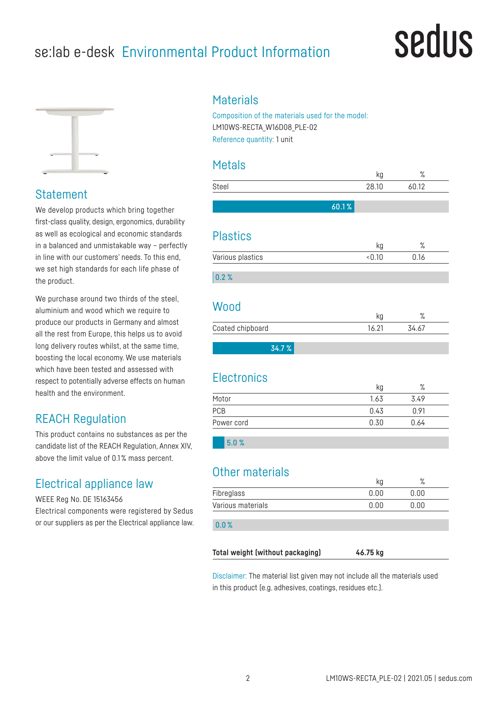# se:lab e-desk Environmental Product Information

# sedus



## **Statement**

We develop products which bring together first-class quality, design, ergonomics, durability as well as ecological and economic standards in a balanced and unmistakable way – perfectly in line with our customers' needs. To this end, we set high standards for each life phase of the product.

We purchase around two thirds of the steel, aluminium and wood which we require to produce our products in Germany and almost all the rest from Europe, this helps us to avoid long delivery routes whilst, at the same time, boosting the local economy. We use materials which have been tested and assessed with respect to potentially adverse effects on human health and the environment.

# REACH Regulation

This product contains no substances as per the candidate list of the REACH Regulation, Annex XIV, above the limit value of 0.1 % mass percent.

# Electrical appliance law

WEEE Reg No. DE 15163456

Electrical components were registered by Sedus or our suppliers as per the Electrical appliance law.

### **Materials**

Composition of the materials used for the model: LM10WS-RECTA\_W16D08\_PLE-02 Reference quantity: 1 unit

## Metals

|                        | kg    | $\%$   |  |
|------------------------|-------|--------|--|
| Steel                  | 28.10 | 60.12  |  |
|                        | 60.1% |        |  |
|                        |       |        |  |
| <b>Plastics</b>        |       |        |  |
|                        | kg    | $\%$   |  |
| Various plastics       | 0.10  | 0.16   |  |
| 0.2%                   |       |        |  |
|                        |       |        |  |
| Wood                   |       |        |  |
|                        | kg    | $\%$   |  |
| Coated chipboard       | 16.21 | 34.67  |  |
| 34.7%                  |       |        |  |
|                        |       |        |  |
| <b>Electronics</b>     |       |        |  |
|                        | kg    | %      |  |
| Motor                  | 1.63  | 3.49   |  |
| PCB                    | 0.43  | 0.91   |  |
| Power cord             | 0.30  | 0.64   |  |
| 5.0%                   |       |        |  |
|                        |       |        |  |
| <b>Other materials</b> |       |        |  |
|                        |       | $\sim$ |  |

| Fibreglass        | 0.00 | 00  |
|-------------------|------|-----|
| Various materials | 0.00 | .00 |

#### 0.0 %

**Total weight (without packaging) 46.75 kg**

Disclaimer: The material list given may not include all the materials used in this product (e.g. adhesives, coatings, residues etc.).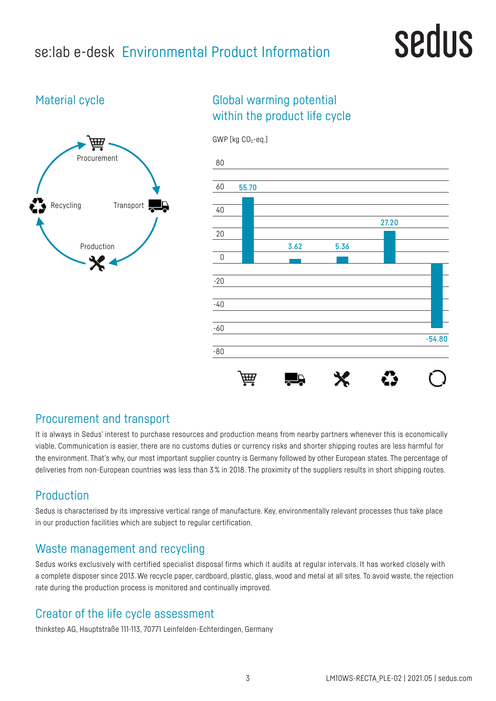# se:lab e-desk Environmental Product Information

# sedus

# Material cycle



# Global warming potential within the product life cycle



## Procurement and transport

It is always in Sedus' interest to purchase resources and production means from nearby partners whenever this is economically viable. Communication is easier, there are no customs duties or currency risks and shorter shipping routes are less harmful for the environment. That's why, our most important supplier country is Germany followed by other European states. The percentage of deliveries from non-European countries was less than 3% in 2018. The proximity of the suppliers results in short shipping routes.

# Production

Sedus is characterised by its impressive vertical range of manufacture. Key, environmentally relevant processes thus take place in our production facilities which are subject to regular certification.

## Waste management and recycling

Sedus works exclusively with certified specialist disposal firms which it audits at regular intervals. It has worked closely with a complete disposer since 2013. We recycle paper, cardboard, plastic, glass, wood and metal at all sites. To avoid waste, the rejection rate during the production process is monitored and continually improved.

## Creator of the life cycle assessment

thinkstep AG, Hauptstraße 111-113, 70771 Leinfelden-Echterdingen, Germany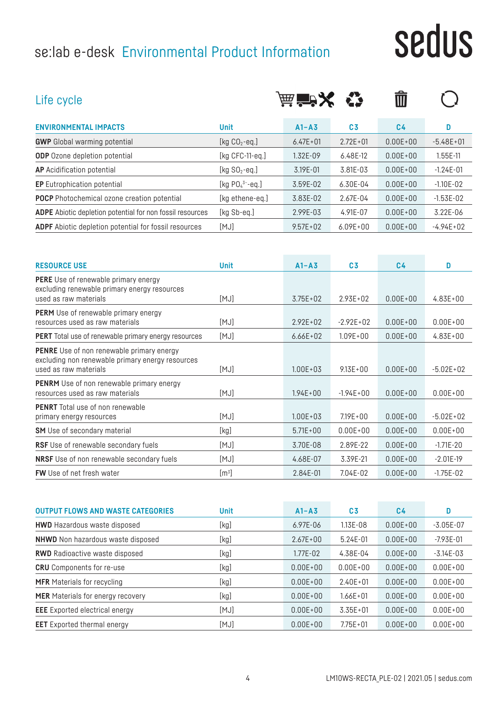# se:lab e-desk Environmental Product Information

# sedus

| Life cycle                                                                                                                    |                       | 麻管メ          |                | Ŵ              |               |
|-------------------------------------------------------------------------------------------------------------------------------|-----------------------|--------------|----------------|----------------|---------------|
| <b>ENVIRONMENTAL IMPACTS</b>                                                                                                  | <b>Unit</b>           | $A1 - A3$    | C <sub>3</sub> | C <sub>4</sub> | D             |
| <b>GWP</b> Global warming potential                                                                                           | [kg $CO2$ -eq.]       | $6.47E + 01$ | $2.72E + 01$   | $0.00E + 00$   | $-5.48E + 01$ |
| <b>ODP</b> Ozone depletion potential                                                                                          | [ $kg$ CFC-11-eq.]    | 1.32E-09     | 6.48E-12       | $0.00E + 00$   | 1.55E-11      |
| <b>AP</b> Acidification potential                                                                                             | [kg $SO2$ -eq.]       | 3.19E-01     | 3.81E-03       | $0.00E + 00$   | $-1.24E-01$   |
| <b>EP</b> Eutrophication potential                                                                                            | [kg $PO_4^{3-}$ -eq.] | 3.59E-02     | 6.30E-04       | $0.00E + 00$   | $-1.10E-02$   |
| <b>POCP</b> Photochemical ozone creation potential                                                                            | [kg ethene-eq.]       | 3.83E-02     | 2.67E-04       | $0.00E + 00$   | $-1.53E-02$   |
| <b>ADPE</b> Abiotic depletion potential for non fossil resources                                                              | [kg Sb-eq.]           | 2.99E-03     | 4.91E-07       | $0.00E + 00$   | 3.22E-06      |
| <b>ADPF</b> Abiotic depletion potential for fossil resources                                                                  | [MJ]                  | $9.57E + 02$ | $6.09E + 00$   | $0.00E + 00$   | $-4.94E+02$   |
| <b>RESOURCE USE</b>                                                                                                           | <b>Unit</b>           | $A1 - A3$    | C <sub>3</sub> | C <sub>4</sub> | D             |
| <b>PERE</b> Use of renewable primary energy                                                                                   |                       |              |                |                |               |
| excluding renewable primary energy resources<br>used as raw materials                                                         | [MJ]                  | $3.75E + 02$ | $2.93E + 02$   | $0.00E + 00$   | $4.83E + 00$  |
| <b>PERM</b> Use of renewable primary energy<br>resources used as raw materials                                                | [MJ]                  | $2.92E + 02$ | $-2.92E + 02$  | $0.00E + 00$   | $0.00E + 00$  |
| PERT Total use of renewable primary energy resources                                                                          | [MJ]                  | $6.66E + 02$ | $1.09E + 00$   | $0.00E + 00$   | $4.83E + 00$  |
| <b>PENRE</b> Use of non renewable primary energy<br>excluding non renewable primary energy resources<br>used as raw materials | [MJ]                  | $1.00E + 03$ | $9.13E + 00$   | $0.00E + 00$   | $-5.02E+02$   |
| <b>PENRM</b> Use of non renewable primary energy<br>resources used as raw materials                                           | [MJ]                  | $1.94E + 00$ | $-1.94E + 00$  | $0.00E + 00$   | $0.00E + 00$  |

| <b>PENRT</b> Total use of non renewable          |                  |              |              |              |               |
|--------------------------------------------------|------------------|--------------|--------------|--------------|---------------|
| primary energy resources                         | [MJ]             | $1.00E + 03$ | $7.19E + 00$ | $0.00E + 00$ | $-5.02E+02$   |
| <b>SM</b> Use of secondary material              | [kg]             | $5.71E+00$   | $0.00E + 00$ | $0.00E + 00$ | $0.00E + 00$  |
| <b>RSF</b> Use of renewable secondary fuels      | [MJ]             | 3.70E-08     | 2.89F-22     | $0.00E + 00$ | $-1.71E - 20$ |
| <b>NRSF</b> Use of non renewable secondary fuels | [MJ]             | 4.68E-07     | 3.39E-21     | $0.00E + 00$ | $-2.01E-19$   |
| <b>FW</b> Use of net fresh water                 | $\mathsf{[m^3]}$ | $2.84E - 01$ | 7.04F-02     | $0.00E + 00$ | $-1.75F - 02$ |

| <b>OUTPUT FLOWS AND WASTE CATEGORIES</b> | <b>Unit</b> | $A1 - A3$    | C <sub>3</sub> | C4           | D             |
|------------------------------------------|-------------|--------------|----------------|--------------|---------------|
| <b>HWD</b> Hazardous waste disposed      | [kg]        | $6.97E - 06$ | 1.13E-08       | $0.00E + 00$ | $-3.05E-07$   |
| <b>NHWD</b> Non hazardous waste disposed | [kg]        | $2.67E + 00$ | $5.24E - 01$   | $0.00E + 00$ | $-7.93E - 01$ |
| <b>RWD</b> Radioactive waste disposed    | [kg]        | 1.77E-02     | 4.38E-04       | $0.00E + 00$ | $-3.14E - 03$ |
| <b>CRU</b> Components for re-use         | [kg]        | $0.00E + 00$ | $0.00E + 00$   | $0.00E + 00$ | $0.00E + 00$  |
| <b>MFR</b> Materials for recycling       | [kg]        | $0.00E + 00$ | $2.40E + 01$   | $0.00E + 00$ | $0.00E + 00$  |
| <b>MER</b> Materials for energy recovery | [kg]        | $0.00E + 00$ | 1.66E+01       | $0.00E + 00$ | $0.00E + 00$  |
| <b>EEE</b> Exported electrical energy    | [MJ]        | $0.00E + 00$ | $3.35E + 01$   | $0.00E + 00$ | $0.00E + 00$  |
| <b>EET</b> Exported thermal energy       | [MJ]        | $0.00E + 00$ | $7.75E + 01$   | $0.00E + 00$ | $0.00E + 00$  |